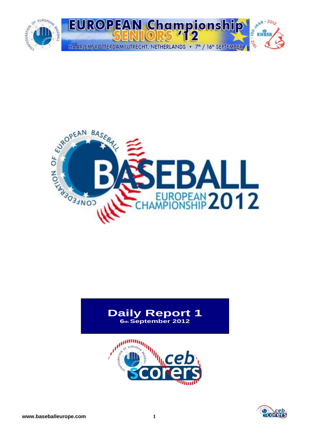



#### **Daily Report 1 6th September 2012**



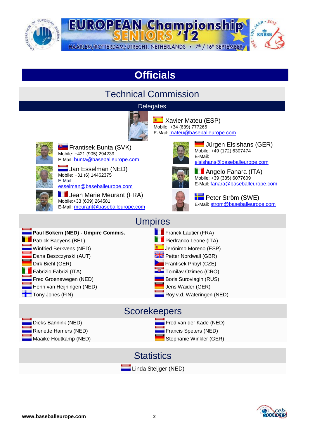



## **Officials**

### Technical Commission

#### **Delegates**



**E** Xavier Mateu (ESP) Mobile: +34 (639) 777265 E-Mail: [mateu@baseballeurope.com](mailto:mateu@baseballeurope.com)



**Frantisek Bunta (SVK)** Mobile: +421 (905) 294239 E-Mail: [bunta@baseballeurope.com](mailto:bunta@baseballeurope.com)

Jan Esselman (NED) Mobile: +31 (6) 14462375 E-Mai[l:](mailto:esselman@baseballeurope.com)

[esselman@baseballeurope.com](mailto:esselman@baseballeurope.com)

Jean Marie Meurant (FRA) Mobile:+33 (609) 264581 E-Mail: [meurant@baseballeurope.com](mailto:meurant@baseballeurope.com)



Uürgen Elsishans (GER) Mobile: +49 (172) 6307474 E-Mail: [elsishans@baseballeurope.com](mailto:elsishans@baseballeurope.com)



**Angelo Fanara (ITA)** Mobile: +39 (335) 6077609 E-Mail: [fanara@baseballeurope.com](mailto:fanara@baseballeurope.com)



**Peter Ström (SWE)** E-Mail: [strom@baseballeurope.com](mailto:strom@baseballeurope.com)

#### Umpires

- **Paul Bokern (NED) Umpire Commis.** Franck Lautier (FRA) **Patrick Baeyens (BEL)** Pierfranco Leone (ITA) Winfried Berkvens (NED) Jerónimo Moreno (ESP) Dana Beszczynski (AUT) Petter Nordwall (GBR) Dirk Biehl (GER) Frantisek Pribyl (CZE) Fabrizio Fabrizi (ITA) Tomilav Ozimec (CRO) **Find Groenewegen (NED)** Boris Suroviagin (RUS) Henri van Heijningen (NED) van die staatsland van die verskilder (GER) van die verskilder (GER) Tony Jones (FIN) Roy v.d. Wateringen (NED)
- -

#### **Scorekeepers**

Dieks Bannink (NED) Fred van der Kade (NED) Rienette Hamers (NED) Francis Speters (NED) Maaike Houtkamp (NED) Stephanie Winkler (GER)

**Statistics** 



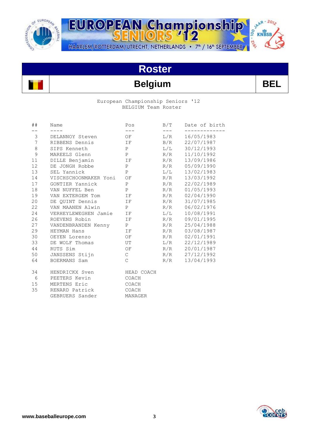

JAAR - 2012 EUROPEAN Championship  $10<sub>0</sub>$ KNBSB -216 HAARLEM/ROTTERDAM/UTRECHT, NETHERLANDS • 7<sup>th</sup> / 16<sup>th</sup> SEPTEMBER

# **Roster**

## **Belgium BEL**

#### European Championship Seniors '12 BELGIUM Team Roster

| ##              | Name                  | Pos                    | B/T       | Date of birth |
|-----------------|-----------------------|------------------------|-----------|---------------|
|                 |                       | ---                    |           | ---------     |
| 3               | DELANNOY Steven       | $\overline{\text{OF}}$ | L/R       | 16/05/1983    |
| $7\overline{ }$ | RIBBENS Dennis        | IF                     | B/R       | 22/07/1987    |
| $\,8\,$         | SIPS Kenneth          | P                      | L/L       | 30/12/1993    |
| 9               | MAREELS Glenn         | $\mathbf P$            | R/R       | 11/10/1992    |
| 11              | DILLE Benjamin        | IF                     | R/R       | 13/09/1986    |
| 12 <sup>°</sup> | DE JONGH Robbe        | $\mathbb{P}$           | R/R       | 05/09/1990    |
| 13              | SEL Yannick           | $\mathbf{P}$           | $\rm L/L$ | 13/02/1983    |
| 14              | VISCHSCHOONMAKER Yoni | OF                     | R/R       | 13/03/1992    |
| 17              | GONTIER Yannick       | $\mathbf{P}$           | R/R       | 22/02/1989    |
| 18              | VAN NUFFEL Ben        | P                      | R/R       | 01/05/1993    |
| 19              | VAN EXTERGEM Tom      | $\Gamma$ $\Gamma$      | R/R       | 02/04/1990    |
| 20              | DE OUINT Dennis       | IF                     | R/R       | 31/07/1985    |
| 22              | VAN MAANEN Alwin      | P                      | R/R       | 06/02/1976    |
| 24              | VERHEYLEWEGHEN Jamie  | IF                     | L/L       | 10/08/1991    |
| 26              | ROEVENS Robin         | IF                     | R/R       | 09/01/1995    |
| 27              | VANDENBRANDEN Kenny   | P                      | R/R       | 25/04/1988    |
| 29              | HEYMAN Hans           | IF                     | R/R       | 03/08/1987    |
| 30              | OEYEN Lorenzo         | OF                     | R/R       | 02/01/1991    |
| 33              | DE WOLF Thomas        | UT                     | L/R       | 22/12/1989    |
| 44              | RUTS Sim              | OF                     | R/R       | 20/01/1987    |
| 50              | JANSSENS Stijn        | $\mathsf{C}$           | R/R       | 27/12/1992    |
| 64              | BOERMANS Sam          | $\mathcal{C}$          | R/R       | 13/04/1993    |
| 34              | HENDRICKX Sven        | HEAD COACH             |           |               |
| 6               | PEETERS Kevin         | COACH                  |           |               |
| 15              | MERTENS Eric          | COACH                  |           |               |
| 35              | RENARD Patrick        | COACH                  |           |               |
|                 | GEBRUERS Sander       | MANAGER                |           |               |

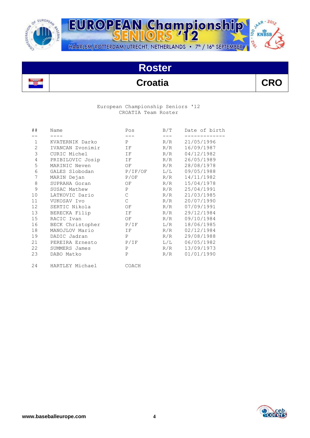

JAAR - 2012 EUROPEAN Championship  $\frac{8}{10}$  KNBSB 11.216 HAARLEM/ROTTERDAM/UTRECHT, NETHERLANDS • 7<sup>th</sup> / 16<sup>th</sup> SEPTEMBER

## **Roster**

## **Croatia CRO**

#### European Championship Seniors '12 CROATIA Team Roster

| ##             | Name             | Pos          | B/T       | Date of birth |
|----------------|------------------|--------------|-----------|---------------|
|                |                  |              |           |               |
| $\mathbf 1$    | KVATERNIK Darko  | P            | R/R       | 21/05/1996    |
| $\mathbf{2}$   | IVANCAN Zvonimir | IF           | R/R       | 16/09/1987    |
| $\mathfrak{Z}$ | CURIC Michel     | IF           | R/R       | 04/12/1982    |
| 4              | PRIBILOVIC Josip | IF           | R/R       | 26/05/1989    |
| 5              | MARINIC Neven    | OF           | R/R       | 28/08/1978    |
| 6              | GALES Slobodan   | P/IF/OF      | $\rm L/L$ | 09/05/1988    |
| 7              | MARIN Dejan      | P/OF         | R/R       | 14/11/1982    |
| $\,8\,$        | SUPRAHA Goran    | ΟF           | R/R       | 15/04/1978    |
| 9              | SUSAC Mathew     | $\mathbf P$  | R/R       | 25/04/1991    |
| 10             | LATKOVIC Dario   | $\mathsf{C}$ | R/R       | 21/03/1985    |
| 11             | VUKOSAV Ivo      | $\mathsf{C}$ | R/R       | 20/07/1990    |
| 12             | SERTIC Nikola    | ΟF           | R/R       | 07/09/1991    |
| 13             | BERECKA Filip    | IF           | R/R       | 29/12/1984    |
| 15             | RACIC Ivan       | OF           | R/R       | 09/10/1984    |
| 16             | BECK Christopher | P/IF         | L/R       | 18/06/1985    |
| 18             | MANOJLOV Mario   | ΙF           | R/R       | 02/12/1984    |
| 19             | DADIC Jadran     | $\mathbf P$  | R/R       | 29/08/1988    |
| 21             | PEREIRA Ernesto  | P/IF         | L/L       | 06/05/1982    |
| 22             | SUMMERS James    | $\mathbf{P}$ | R/R       | 13/09/1973    |
| 23             | DABO Matko       | $\mathbf{P}$ | R/R       | 01/01/1990    |
| 24             | HARTLEY Michael  | COACH        |           |               |

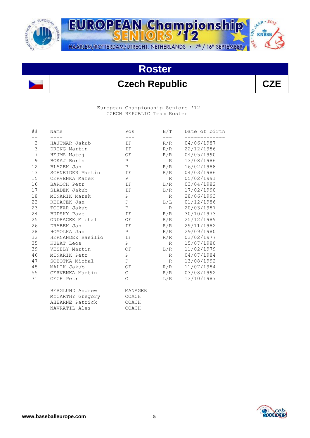

JAAR - 2012 EUROPEAN Championship 00 **KNBSB** -216 HAARLEM/ROTTERDAM/UTRECHT, NETHERLANDS • 7<sup>th</sup> / 16<sup>th</sup> SEPTEMBER

## **Roster**

### **Czech Republic CZE**

 European Championship Seniors '12 CZECH REPUBLIC Team Roster

| ##            | Name              | Pos           | B/T             | Date of birth |
|---------------|-------------------|---------------|-----------------|---------------|
| $ -$          | $- - - -$         | $---$         | $---$           |               |
| $\mathbf{2}$  | HAJTMAR Jakub     | IF            | R/R             | 04/06/1987    |
| $\mathsf 3$   | DRONG Martin      | IF            | R/R             | 22/12/1986    |
| 7             | HEJMA Matej       | OF            | R/R             | 04/05/1990    |
| $\mathcal{G}$ | BOKAJ Boris       | P             | R               | 13/08/1986    |
| 12            | BLAZEK Jan        | P             | R/R             | 16/02/1988    |
| 13            | SCHNEIDER Martin  | IF            | R/R             | 04/03/1986    |
| 15            | CERVENKA Marek    | P             | $R_{\parallel}$ | 05/02/1991    |
| 16            | BAROCH Petr       | IF            | L/R             | 03/04/1982    |
| 17            | SLADEK Jakub      | IF            | L/R             | 17/02/1990    |
| 18            | MINARIK Marek     | P             | R               | 28/06/1993    |
| 22            | REHACEK Jan       | $\mathbf{P}$  | L/L             | 01/12/1986    |
| 23            | TOUFAR Jakub      | $\, {\bf P}$  | $R \sim$        | 20/03/1987    |
| 24            | BUDSKY Pavel      | IF            | R/R             | 30/10/1973    |
| 25            | ONDRACEK Michal   | OF            | R/R             | 25/12/1989    |
| 26            | DRABEK Jan        | IF.           | R/R             | 29/11/1982    |
| 28            | HOMOLKA Jan       | P             | R/R             | 29/09/1980    |
| 32            | HERNANDEZ Basilio | IF            | R/R             | 03/02/1977    |
| 35            | KUBAT Leos        | P             | R               | 15/07/1980    |
| 39            | VESELY Martin     | OF            | L/R             | 11/02/1979    |
| 46            | MINARIK Petr      | $\mathbf{P}$  | $R \sim$        | 04/07/1984    |
| 47            | SOBOTKA Michal    | $\, {\bf P}$  | $R \sim$        | 13/08/1992    |
| 48            | MALIK Jakub       | OF            | R/R             | 11/07/1984    |
| 55            | CERVENKA Martin   | $\mathsf{C}$  | R/R             | 03/08/1992    |
| 71            | CECH Petr         | $\mathcal{C}$ | L/R             | 13/10/1987    |
|               | BERGLUND Andrew   | MANAGER       |                 |               |
|               | McCARTHY Gregory  | COACH         |                 |               |
|               | AHEARNE Patrick   | COACH         |                 |               |
|               | NAVRATIL Ales     | COACH         |                 |               |

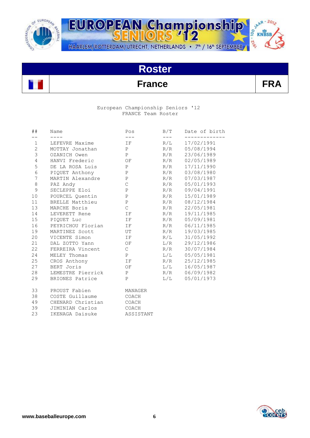



### **France FRA**

#### European Championship Seniors '12 FRANCE Team Roster

| ##             | Name              | Pos           | B/T   | Date of birth |
|----------------|-------------------|---------------|-------|---------------|
| $ -$           | $\frac{1}{2}$     | $\frac{1}{2}$ | $---$ |               |
| 1              | LEFEVRE Maxime    | IF            | R/L   | 17/02/1991    |
| $\overline{2}$ | MOTTAY Jonathan   | P             | R/R   | 05/08/1994    |
| $\mathsf 3$    | OZANICH Owen      | $\mathbf{P}$  | R/R   | 23/06/1989    |
| $\overline{4}$ | HANVI Frederic    | OF            | R/R   | 02/05/1989    |
| 5              | DE LA ROSA Luis   | $\, {\bf P}$  | R/R   | 17/11/1990    |
| $6\,$          | PIOUET Anthony    | $\, {\bf P}$  | R/R   | 03/08/1980    |
| $\overline{7}$ | MARTIN Alexandre  | $\, {\bf P}$  | R/R   | 07/03/1987    |
| $\,8\,$        | PAZ Andy          | $\mathsf{C}$  | R/R   | 05/01/1993    |
| 9              | SECLEPPE Eloi     | $\, {\bf P}$  | R/R   | 09/04/1991    |
| 10             | POURCEL Ouentin   | $\, {\bf P}$  | R/R   | 15/01/1989    |
| 11             | BRELLE Matthieu   | $\, {\bf P}$  | R/R   | 08/12/1984    |
| 13             | MARCHE Boris      | $\mathsf{C}$  | R/R   | 22/05/1981    |
| 14             | LEVERETT Rene     | IF            | R/R   | 19/11/1985    |
| 15             | PIOUET Luc        | IF            | R/R   | 05/09/1981    |
| 16             | PEYRICHOU Florian | IF            | R/R   | 06/11/1985    |
| 19             | MARTINEZ Scott    | UT            | R/R   | 19/03/1985    |
| 20             | VICENTE Simon     | IF            | R/L   | 31/05/1992    |
| 21             | DAL ZOTTO Yann    | OF            | L/R   | 29/12/1986    |
| 22             | FERREIRA Vincent  | $\mathsf{C}$  | R/R   | 30/07/1984    |
| 24             | MELEY Thomas      | P             | L/L   | 05/05/1981    |
| 25             | CROS Anthony      | IF            | R/R   | 25/12/1985    |
| 27             | BERT Joris        | OF            | L/L   | 16/05/1987    |
| 28             | LEMESTRE Pierrick | P             | R/R   | 06/09/1982    |
| 29             | BRIONES Patrice   | $\mathbf{P}$  | L/L   | 05/01/1973    |
| 33             | PROUST Fabien     | MANAGER       |       |               |
| 38             | COSTE Guillaume   | COACH         |       |               |
| 49             | CHENARD Christian | COACH         |       |               |
| 39             | JIMINIAN Carlos   | COACH         |       |               |
| 23             | IKENAGA Daisuke   | ASSISTANT     |       |               |

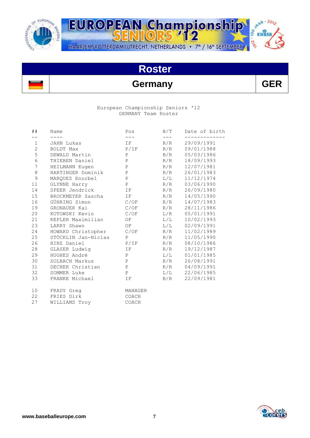

SAAR-2012 EUROPEAN Championship  $-26^{\circ}$ HAARLEM/ROTTERDAM/UTRECHT, NETHERLANDS • 7<sup>th</sup> / 16<sup>th</sup> SEPTEMBER

## **Roster**

### **Germany GER**

#### European Championship Seniors '12 GERMANY Team Roster

| ##              | Name                    | Pos          | B/T   | Date of birth |
|-----------------|-------------------------|--------------|-------|---------------|
|                 |                         | $---$        | $---$ | ---------     |
| $\mathbf{1}$    | JAHN Lukas              | IF           | R/R   | 29/09/1991    |
| $\overline{2}$  | BOLDT Max               | P/IF         | R/R   | 09/01/1988    |
| 5               | DEWALD Martin           | P            | B/R   | 05/03/1986    |
| 6               | THIEBEN Daniel          | $\mathbf{P}$ | R/R   | 18/09/1993    |
| 7               | HEILMANN Eugen          | $\, {\bf P}$ | R/R   | 12/07/1981    |
| 8               | HARTINGER Dominik       | $\, {\bf P}$ | R/R   | 26/01/1983    |
| 9               | MARQUEZ Enorbel         | $\, {\bf P}$ | L/L   | 11/12/1974    |
| 11              | GLYNNE Harry            | P            | R/R   | 03/06/1990    |
| 14              | SPEER Jendrick          | IF           | R/R   | 26/09/1980    |
| 15              | BROCKMEYER Sascha       | IF           | R/R   | 14/05/1990    |
| 16              | GÜHRING Simon           | C/OF         | R/R   | 14/07/1983    |
| 19              | GRONAUER Kai            | C/OF         | R/R   | 28/11/1986    |
| 20              | KOTOWSKI Kevin          | C/OF         | L/R   | 05/01/1991    |
| 21              | KEPLER Maximilian       | OF           | L/L   | 10/02/1993    |
| 23              | LARRY Shawn             | OF           | L/L   | 02/09/1991    |
| 24              | HOWARD Christopher C/OF |              | R/R   | 11/02/1989    |
| 25              | STÖCKLIN Jan-Niclas     | $\mathbf{P}$ | R/R   | 11/05/1990    |
| 26              | HINZ Daniel             | P/IF         | R/R   | 08/10/1986    |
| 28              | GLASER Ludwig           | IF           | R/R   | 19/12/1987    |
| 29              | HUGHES André            | P            | L/L   | 01/01/1985    |
| 30              | SOLBACH Markus          | P            | R/R   | 26/08/1991    |
| 31              | DECHER Christian        | $\, {\bf P}$ | R/R   | 04/09/1991    |
| 32              | SOMMER Luke             | $\, {\bf P}$ | L/L   | 22/06/1985    |
| 33              | FRANKE Michael          | IF           | B/R   | 22/09/1981    |
| 10 <sup>°</sup> | FRADY Greq              | MANAGER      |       |               |
| 22              | FRIES Dirk              | COACH        |       |               |
| 27              | WILLIAMS Troy           | COACH        |       |               |

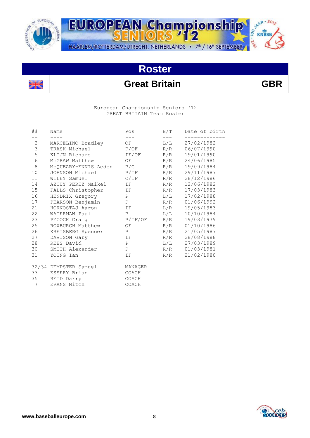

es est<br>Se pec



## **Roster**



 European Championship Seniors '12 GREAT BRITAIN Team Roster

| Name                  | Pos               | B/T                                                                                                                                                                                                                                    | Date of birth                                                                                                                                           |
|-----------------------|-------------------|----------------------------------------------------------------------------------------------------------------------------------------------------------------------------------------------------------------------------------------|---------------------------------------------------------------------------------------------------------------------------------------------------------|
|                       | $- - -$           | $---$                                                                                                                                                                                                                                  | ---------                                                                                                                                               |
|                       |                   | L/L                                                                                                                                                                                                                                    | 27/02/1982                                                                                                                                              |
| TRASK Michael         |                   |                                                                                                                                                                                                                                        | R/R 06/07/1990                                                                                                                                          |
| KLIJN Richard         |                   | R/R                                                                                                                                                                                                                                    | 19/01/1990                                                                                                                                              |
|                       |                   |                                                                                                                                                                                                                                        | 24/06/1985                                                                                                                                              |
|                       |                   | R/R                                                                                                                                                                                                                                    | 19/09/1984                                                                                                                                              |
|                       |                   | R/R                                                                                                                                                                                                                                    | 29/11/1987                                                                                                                                              |
|                       |                   |                                                                                                                                                                                                                                        | 28/12/1986                                                                                                                                              |
|                       |                   | R/R                                                                                                                                                                                                                                    | 12/06/1982                                                                                                                                              |
|                       |                   | R/R                                                                                                                                                                                                                                    | 17/03/1983                                                                                                                                              |
|                       |                   | L/L                                                                                                                                                                                                                                    | 17/02/1988                                                                                                                                              |
|                       |                   | R/R                                                                                                                                                                                                                                    | 01/06/1992                                                                                                                                              |
|                       |                   |                                                                                                                                                                                                                                        | 19/05/1983                                                                                                                                              |
| WATERMAN Paul         | $P \qquad \qquad$ | L/L                                                                                                                                                                                                                                    | 10/10/1984                                                                                                                                              |
|                       |                   |                                                                                                                                                                                                                                        | 19/03/1979                                                                                                                                              |
|                       |                   |                                                                                                                                                                                                                                        | 01/10/1986                                                                                                                                              |
|                       |                   | R/R                                                                                                                                                                                                                                    | 21/05/1987                                                                                                                                              |
| DAVISON Gary          |                   | R/R                                                                                                                                                                                                                                    | 28/08/1988                                                                                                                                              |
| REES David            | P                 |                                                                                                                                                                                                                                        | L/L 27/03/1989                                                                                                                                          |
| SMITH Alexander       |                   |                                                                                                                                                                                                                                        | 01/03/1981                                                                                                                                              |
| YOUNG Ian             | IF                | R/R                                                                                                                                                                                                                                    | 21/02/1980                                                                                                                                              |
| 32/34 DEMPSTER Samuel |                   |                                                                                                                                                                                                                                        |                                                                                                                                                         |
| ESSERY Brian          |                   |                                                                                                                                                                                                                                        |                                                                                                                                                         |
|                       |                   |                                                                                                                                                                                                                                        |                                                                                                                                                         |
| EVANS Mitch           | COACH             |                                                                                                                                                                                                                                        |                                                                                                                                                         |
|                       | 35 REID Darryl    | MARCELINO Bradley OF<br>P/OF<br>JOHNSON Michael P/IF<br>AZCUY PEREZ Maikel IF<br>FALLS Christopher IF<br>HENDRIX Gregory P<br>PEARSON Benjamin P<br>ROXBURGH Matthew OF<br>KREISBERG Spencer P<br>IF<br>P<br>MANAGER<br>COACH<br>COACH | IF/OF<br>McGRAW Matthew OF R/R<br>McQUEARY-ENNIS Aeden P/C<br>WILEY Samuel C/IF R/R<br>HORNOSTAJ Aaron IF L/R<br>PYCOCK Craig P/IF/OF R/R<br>R/R<br>R/R |

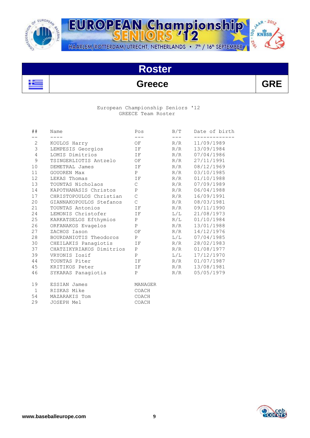



### **Greece GRE**

#### European Championship Seniors '12 GREECE Team Roster

| ##             | Name                                      | Pos                           | B/T   | Date of birth  |
|----------------|-------------------------------------------|-------------------------------|-------|----------------|
| $-$            | $\qquad \qquad - - - -$                   | $\qquad \qquad - -$           | $---$ | -----------    |
| $\overline{2}$ | KOULOS Harry                              | OF                            | R/R   | 11/09/1989     |
| 3 <sup>7</sup> | LEMPESIS Georgios                         | <b>IF</b>                     | R/R   | 13/09/1984     |
| $\overline{4}$ | LOMIS Dimitrios<br>$\overline{\text{IF}}$ |                               | R/R   | 07/04/1986     |
| 9              | TSINGERLIOTIS Antzelo OF                  |                               | R/R   | 27/11/1991     |
| 10             | DEMETRAL James                            | $\overline{I}$ $\overline{F}$ | R/R   | 08/12/1969     |
| 11             | GOUOREN Max                               | P                             | R/R   | 03/10/1985     |
| 12             | LEKAS Thomas                              | IF                            | R/R   | 01/10/1988     |
| 13             | TOUNTAS Nicholaos                         | $\mathsf C$                   | R/R   | 07/09/1989     |
| 14             | KAPOTHANASIS Christos                     | $\mathbf P$                   | R/R   | 06/04/1988     |
|                | 17 CHRISTOPOULOS Christian                | $\mathsf C$                   | R/R   | 16/09/1991     |
|                | 20 GIANNAKOPOULOS Stefanos                | $\mathsf C$                   | R/R   | 08/03/1981     |
| 21             | TOUNTAS Antonios                          | $\rm I\,F$                    |       | R/R 09/11/1990 |
| 24             | LEMONIS Christofer IF                     |                               | L/L   | 21/08/1973     |
| 25             | KARKATSELOS Efthymios                     | P                             | R/L   | 01/10/1984     |
| 26             | ORFANAKOS Evagelos                        | P                             | R/R   | 13/01/1988     |
| 27             | ZACHOS Iason                              | OF                            | R/R   | 14/12/1976     |
| 28             | BOURDANIOTIS Theodoros                    | P                             | L/L   | 07/04/1985     |
|                | 30 CHEILAKIS Panagiotis                   | IF                            | R/R   | 28/02/1983     |
|                | 37 CHATZIKYRIAKOS Dimitrios               | P                             | R/R   | 01/08/1977     |
| 39             | VRYONIS Iosif                             | P                             | L/L   | 17/12/1970     |
| 44             | TOUNTAS Piter                             | IF                            | R/R   | 01/07/1987     |
|                | 45 KRITIKOS Peter                         | IF                            | R/R   | 13/08/1981     |
| 46             | SYKARAS Panagiotis                        | P                             | R/R   | 05/05/1979     |
| 19             | ESSIAN James                              | MANAGER                       |       |                |
| $\mathbf{1}$   | RISKAS Mike                               | COACH                         |       |                |
| 54             | MAZARAKIS Tom                             | COACH                         |       |                |
| 29             | JOSEPH Mel                                | COACH                         |       |                |

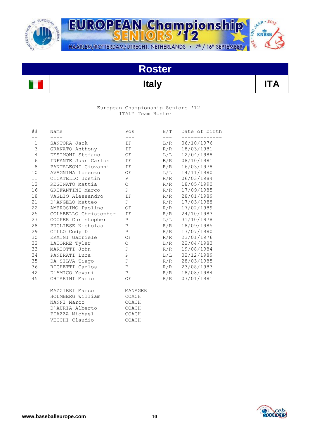



### **Italy ITA**

#### European Championship Seniors '12 ITALY Team Roster

| ##             | Name<br>$- - - -$     | Pos<br>$- - -$ | $---$ | B/T Date of birth |
|----------------|-----------------------|----------------|-------|-------------------|
| $- -$<br>$1\,$ | SANTORA Jack          | IF             | L/R   | 06/10/1976        |
| 3              | GRANATO Anthony       | IF             | R/R   | 18/03/1981        |
| $\overline{4}$ | DESIMONI Stefano      | OF             | L/L   | 12/04/1988        |
| 6              | INFANTE Juan Carlos   | IF             | B/R   | 08/10/1981        |
| $8\,$          | PANTALEONI Giovanni   | IF             | R/R   | 16/03/1978        |
| 10             | AVAGNINA Lorenzo      | OF             | L/L   | 14/11/1980        |
| 11             | CICATELLO Justin      | P              |       | R/R 06/03/1984    |
| 12             | REGINATO Mattia       | $\mathsf C$    | R/R   | 18/05/1990        |
| 16             | GRIFANTINI Marco      | P              | R/R   | 17/09/1985        |
| 18             | VAGLIO Alessandro     | ΙF             | R/R   | 28/01/1989        |
| 21             | D'ANGELO Matteo       | P              | R/R   | 17/03/1988        |
| 22             | AMBROSINO Paolino     | OF             | R/R   | 17/02/1989        |
| 25             | COLABELLO Christopher | ΙF             |       | $R/R$ 24/10/1983  |
| 27             | COOPER Christopher    | P              |       | $L/L$ 31/10/1978  |
| 28             | PUGLIESE Nicholas     | $\mathbf P$    |       | R/R 18/09/1985    |
| 29             | CILLO Cody D          | P              |       | R/R 17/07/1980    |
| 30             | ERMINI Gabriele       | ΟF             | R/R   | 23/01/1976        |
| 32             | LATORRE Tyler         | $\mathsf C$    | L/R   | 22/04/1983        |
| 33             | MARIOTTI John         | $\, {\bf P}$   | R/R   | 19/08/1984        |
| 34             | PANERATI Luca         | $\, {\bf P}$   | L/L   | 02/12/1989        |
| 35             | DA SILVA Tiago        | $\, {\bf P}$   |       | R/R 28/03/1985    |
| 36             | RICHETTI Carlos       | P              |       | R/R 23/08/1983    |
| 42             | D'AMICO Yovani        | P              |       | R/R 18/08/1984    |
| 45             | CHIARINI Mario        | OF             | R/R   | 07/01/1981        |
|                | MAZZIERI Marco        | MANAGER        |       |                   |
|                | HOLMBERG William      | COACH          |       |                   |
|                | NANNI Marco           | COACH          |       |                   |
|                | D'AURIA Alberto       | COACH          |       |                   |
|                | PIAZZA Michael        | COACH          |       |                   |
|                | VECCHI Claudio        | COACH          |       |                   |

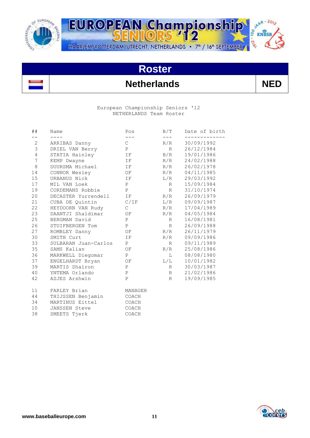



### **Netherlands NED**

 European Championship Seniors '12 NETHERLANDS Team Roster

| # #                   | Name                   | Pos                  | B/T          | Date of birth            |
|-----------------------|------------------------|----------------------|--------------|--------------------------|
| $- -$<br>$\mathbf{2}$ | $- - - -$              | $---$<br>$\mathbb C$ | $---$<br>R/R | 30/09/1992               |
| $\mathsf 3$           | ARRIBAS Danny          | P                    | R            | 26/12/1984               |
| $\overline{4}$        | DRIEL VAN Berry        | IF                   | B/R          | 19/01/1986               |
| 7                     | STATIA Hainley         |                      | R/R          | 24/02/1988               |
| $\,8\,$               | KEMP Dwayne            | IF                   |              |                          |
|                       | DUURSMA Michael        | <b>IF</b>            | R/R          | 26/02/1978               |
| 14<br>15              | CONNOR Wesley          | OF                   | R/R          | 04/11/1985<br>29/03/1992 |
|                       | URBANUS Nick           | IF                   | L/R          |                          |
| 17                    | MIL VAN Loek           | P                    | R            | 15/09/1984               |
| 19                    | CORDEMANS Robbie       | P                    | R            | 31/10/1974               |
| 20                    | DECASTER Yurrendell IF |                      | R/R          | 26/09/1979               |
| 21                    | CUBA DE Quintin C/IF   |                      | L/R          | 09/09/1987               |
| 22                    | HEYDOORN VAN Rudy      | $\mathbb{C}$         | R/R          | 17/04/1989               |
| 23                    | DAANTJI Shaldimar OF   |                      | R/R          | 04/05/1984               |
| 25                    | BERGMAN David          | $\, {\bf P}$         | R            | 16/08/1981               |
| 26                    | STUIFBERGEN Tom        | P                    | R            | 26/09/1988               |
| 27                    | ROMBLEY Danny OF       |                      | R/R          | 26/11/1979               |
| 30                    | SMITH Curt             | IF                   | R/R          | 09/09/1986               |
| 33                    | SULBARAN Juan-Carlos   | P                    | R            | 09/11/1989               |
| 35                    | SAMS Kalian            | OF                   | R/R          | 25/08/1986               |
| 36                    | MARKWELL Diegomar      | P                    | $\mathbf{L}$ | 08/08/1980               |
| 37                    | ENGELHARDT Bryan       | OF                   | L/L          | 10/01/1982               |
| 39                    | MARTIS Shairon         | P                    | $R \sim$     | 30/03/1987               |
| 40                    | YNTEMA Orlando         | $\, {\bf P}$         | $R \sim$     | 21/02/1986               |
| 42                    | ASJES Arshwin          | $\mathbf{P}$         | $R \sim$     | 19/09/1985               |
| 11                    | FARLEY Brian           | MANAGER              |              |                          |
| 44                    | THIJSSEN Benjamin      | COACH                |              |                          |
| 34                    | MARTINUS Eittel        | COACH                |              |                          |
| 10                    | JANSSEN Steve          | $\mathtt{COACH}$     |              |                          |
| 38                    | SMEETS Tierk           | COACH                |              |                          |

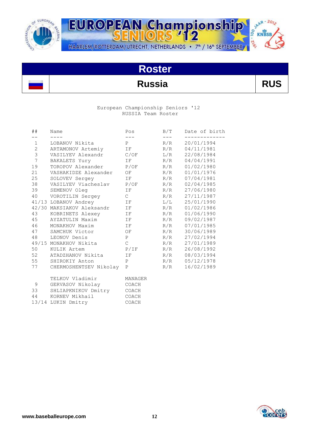



### **Russia RUS**

#### European Championship Seniors '12 RUSSIA Team Roster

| ##             | Name                      | Pos                           | B/T   | Date of birth |
|----------------|---------------------------|-------------------------------|-------|---------------|
|                |                           | $- - -$                       | $---$ | ----------    |
| $\mathbf 1$    | LOBANOV Nikita            | P                             | R/R   | 20/01/1994    |
| $\overline{2}$ | ARTAMONOV Artemiy IF      |                               | R/R   | 04/11/1981    |
| $\mathfrak{Z}$ | VASILYEV Alexandr C/OF    |                               | L/R   | 22/08/1984    |
| 7              | BAKALETS Yury IF          |                               | R/R   | 04/04/1991    |
| 19             | TOROPOV Alexander P/OF    |                               | R/R   | 01/02/1980    |
| 21             | VASHAKIDZE Alexander      | OF                            | R/R   | 01/01/1976    |
| 25             | SOLOVEV Sergey            | IF 1                          | R/R   | 07/04/1981    |
| 38             | VASILYEV Viacheslav P/OF  |                               | R/R   | 02/04/1985    |
| 39             | SEMENOV Oleg              | IF                            | R/R   | 27/06/1980    |
| 40             | VOROTILIN Sergey          | $\mathbb C$                   | R/R   | 27/11/1987    |
|                | 41/13 LOBANOV Andrey      | IF                            | L/L   | 25/01/1990    |
|                | 42/30 MAKSIAKOV Aleksandr | IF                            | R/R   | 01/02/1986    |
| 43             | KOBRINETS Alexey IF       |                               | R/R   | 01/06/1990    |
| 45             | AYZATULIN Maxim<br>IF     |                               | R/R   | 09/02/1987    |
| 46             | MONAKHOV Maxim            | $\overline{I}$ $\overline{F}$ | R/R   | 07/01/1985    |
|                | OF<br>47 SAMCHUK Victor   |                               | R/R   | 30/06/1989    |
| 48             | LEONOV Denis              | $\mathbf{P}$                  | R/R   | 27/02/1994    |
|                | 49/15 MONAKHOV Nikita     | $\mathcal{C}$                 | R/R   | 27/01/1989    |
| 50             | KULIK Artem               | P/IF                          | R/R   | 26/08/1992    |
| 52             | ATADZHANOV Nikita         | IF                            | R/R   | 08/03/1994    |
| 55             | SHIROKIY Anton            | $\mathbf{P}$                  | R/R   | 05/12/1978    |
| 77             | CHERMOSHENTSEV Nikolay    | $\mathbf{P}$                  | R/R   | 16/02/1989    |
|                | TELKOV Vladimir           | MANAGER                       |       |               |
| 9              | GERVASOV Nikolay COACH    |                               |       |               |
| 33             | SHLIAPKNIKOV Dmitry COACH |                               |       |               |



 44 KORNEV Mikhail COACH 13/14 LUKIN Dmitry COACH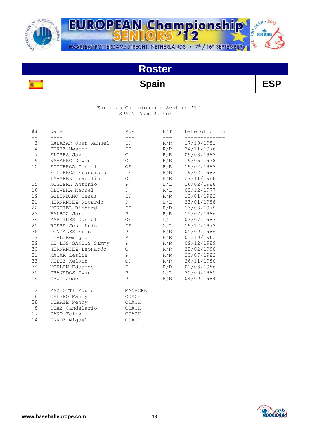

SAAR-2012 EUROPEAN Championship **DI-2'e** HAARLEM/ROTTERDAM/UTRECHT, NETHERLANDS • 7<sup>th</sup> / 16<sup>th</sup> SEPTEMBER

# **Roster**

## **Spain ESP**

#### European Championship Seniors '12 SPAIN Team Roster

| ##             | Name                | Pos                 | B/T       | Date of birth |
|----------------|---------------------|---------------------|-----------|---------------|
| $ -$           | $- - - -$           | $\qquad \qquad - -$ | $---$     |               |
| 3              | SALAZAR Juan Manuel | IF                  | R/R       | 17/10/1981    |
| $\overline{4}$ | PEREZ Nestor        | IF                  | R/R       | 24/11/1976    |
| 7              | FLORES Javier       | $\mathsf{C}^-$      | R/R       | 09/03/1983    |
| 9              | NAVARRO Dewis       | $\mathsf{C}$        | R/R       | 19/06/1978    |
| 10             | FIGUEROA Daniel     | OF                  | R/R       | 19/02/1983    |
| 11             | FIGUEROA Francisco  | IF                  | R/R       | 19/02/1983    |
| 13             | TAVAREZ Franklin    | OF                  | B/R       | 27/11/1988    |
| 15             | NOGUERA Antonio     | P                   | $\rm L/L$ | 26/02/1988    |
| 16             | OLIVERA Manuel      | P                   | R/L       | 08/12/1977    |
| 19             | GOLINDANO Jesus     | IF                  | R/R       | 13/01/1982    |
| 21             | HERNANDEZ Ricardo   | P                   | L/L       | 23/01/1988    |
| 22             | MONTIEL Richard     | IF                  | R/R       | 13/08/1979    |
| 23             | BALBOA Jorge        | P                   | R/R       | 15/07/1986    |
| 24             | MARTINEZ Daniel     | OF                  | L/L       | 03/07/1987    |
| 25             | RIERA Jose Luis     | IF                  | $\rm L/L$ | 19/12/1973    |
| 26             | GONZALEZ Eric       | P                   | R/R       | 05/09/1986    |
| 27             | LEAL Remigio        | $\mathbf P$         | R/R       | 01/10/1963    |
| 29             | DE LOS SANTOS Sammy | $\, {\bf P}$        | R/R       | 09/12/1989    |
| 30             | HERNANDEZ Leonardo  | $\mathsf C$         | R/R       | 22/02/1990    |
| 31             | NACAR Leslie        | $\mathbf{P}$        | R/R       | 20/07/1982    |
| 33             | FELIZ Kelvin        | ΟF                  | R/R       | 26/11/1980    |
| 34             | MORLAN Eduardo      | $\, {\bf P}$        | R/R       | 01/03/1986    |
| 35             | GRANADOS Ivan       | $\mathbf{P}$        | L/L       | 30/09/1985    |
| 54             | CRUZ Jose           | $\mathsf{P}$        | R/R       | 04/09/1984    |
| 2              | MAZZOTTI Mauro      | MANAGER             |           |               |
| 18             | CRESPO Manny        | COACH               |           |               |
| 28             | DUARTE Renny        | COACH               |           |               |
| 8              | DIAZ Candelario     | COACH               |           |               |
| 17             | CANO Felix          | COACH               |           |               |
| 14             | ERROZ Miguel        | COACH               |           |               |

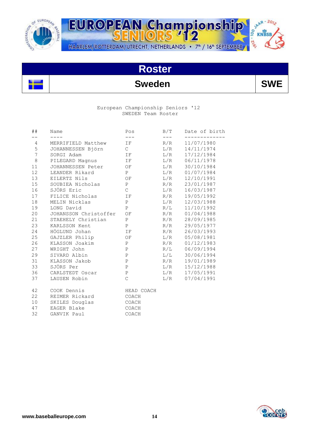

SAAR-2012 EUROPEAN Championship  $-26^{\circ}$ HAARLEM/ROTTERDAM/UTRECHT, NETHERLANDS • 7<sup>th</sup> / 16<sup>th</sup> SEPTEMBER

## **Roster**

### **Sweden SWE**

#### European Championship Seniors '12 SWEDEN Team Roster

| ##             | Name                  | Pos                 | B/T   | Date of birth  |
|----------------|-----------------------|---------------------|-------|----------------|
| $- -$          | $- - - -$             | $\qquad \qquad - -$ | $---$ | ---------      |
| 4              | MERRIFIELD Matthew    | IF                  | R/R   | 11/07/1980     |
| 5              | JOHANNESSEN Björn     | $\mathbb C$         | L/R   | 14/11/1974     |
| $\overline{7}$ | SORGI Adam            | IF                  | L/R   | 17/12/1984     |
| $\,8\,$        | PILEGARD Magnus IF    |                     | L/R   | 06/11/1978     |
| 11             | JOHANNESSEN Peter OF  |                     | L/R   | 30/10/1984     |
| 12             | LEANDER Rikard        | P                   | L/R   | 01/07/1984     |
| 13             | EILERTZ Nils          | ΟF                  | L/R   | 12/10/1991     |
| 15             | SOUBIEA Nicholas      | P                   | R/R   | 23/01/1987     |
| 16             | SJÖRS Eric            | $\mathsf C$         | L/R   | 16/03/1987     |
| 17             | FILICE Nicholas       | IF                  | R/R   | 19/05/1992     |
| 18             | MELIN Nicklas         | P                   | L/R   | 12/03/1988     |
| 19             | LONG David            | $\, {\bf P}$        | R/L   | 11/10/1992     |
| 20             | JOHANSSON Christoffer | OF                  | R/R   | 01/04/1988     |
| 21             | STAEHELY Christian    | P                   | R/R   | 28/09/1985     |
| 23             | KARLSSON Kent         | $\, {\bf P}$        | R/R   | 29/05/1977     |
| 24             | HÖGLUND Johan         | IF                  | R/R   | 26/03/1993     |
| 25             | GAJZLER Philip        | OF                  | L/R   | 05/08/1981     |
| 26             | KLASSON Joakim        | P                   | R/R   | 01/12/1983     |
| 27             | WRIGHT John           | $\mathbf{P}$        | R/L   | 06/09/1994     |
| 29             | SIVARD Albin          | $\, {\bf P}$        | L/L   | 30/06/1994     |
| 31             | KLASSON Jakob         | $\, {\bf P}$        | R/R   | 19/01/1989     |
| 33             | SJÖRS Per             | P                   | L/R   | 15/12/1988     |
| 36             | CARLSTEDT Oscar       | ${\tt P}$           |       | L/R 17/05/1991 |
| 37             | LAUSEN Robin          | $\mathsf C$         | L/R   | 07/04/1991     |
| 42             | COOK Dennis           | HEAD COACH          |       |                |
| 22             | REIMER Rickard        | COACH               |       |                |
| 10             | SKILES Douglas        | COACH               |       |                |
| 47             | EAGER Blake           | COACH               |       |                |
| 32             | GANVIK Paul           | COACH               |       |                |

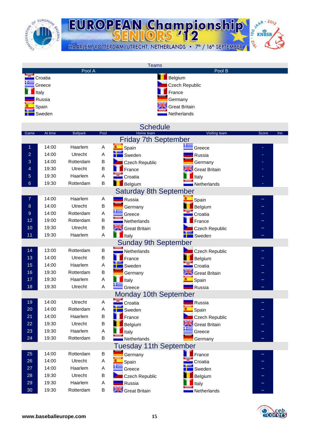

JAAR - 2012 EUROPEAN Championship  $\frac{1}{2}$  KNBSB **DI-2'e** HAARLEM/ROTTERDAM/UTRECHT, NETHERLANDS • 7<sup>th</sup> / 16<sup>th</sup> SEPTEMBER

| <b>Teams</b>                |         |                 |                |                               |                           |               |  |
|-----------------------------|---------|-----------------|----------------|-------------------------------|---------------------------|---------------|--|
|                             |         | Pool A          |                |                               | Pool B                    |               |  |
|                             | Croatia |                 |                |                               | Belgium                   |               |  |
|                             | Greece  |                 |                |                               | <b>Czech Republic</b>     |               |  |
|                             | Italy   |                 |                |                               | France                    |               |  |
|                             | Russia  |                 |                |                               | Germany                   |               |  |
|                             | Spain   |                 |                |                               | <b>Great Britain</b>      |               |  |
|                             | Sweden  |                 |                |                               | Netherlands               |               |  |
|                             |         |                 |                |                               |                           |               |  |
|                             |         |                 |                | <b>Schedule</b>               |                           |               |  |
| Game                        | At time | <b>Ballpark</b> | Pool           | Home team                     | <b>Visiting team</b>      | Score<br>Inn. |  |
|                             |         |                 |                | <b>Friday 7th September</b>   |                           |               |  |
| 1                           | 14:00   | Haarlem         | $\overline{A}$ | Spain                         | $\equiv$ Greece           |               |  |
| $\overline{a}$              | 14:00   | Utrecht         | A              | Sweden                        | Russia                    |               |  |
| 3                           | 14:00   | Rotterdam       | B              |                               |                           |               |  |
| 4                           | 19:30   | Utrecht         | B              | Czech Republic                | Germany                   |               |  |
|                             |         |                 |                | France                        | <b>STE:</b> Great Britain |               |  |
| 5                           | 19:30   | Haarlem         | Α              | Croatia                       | Italy                     |               |  |
| $6\phantom{1}$              | 19:30   | Rotterdam       | B              | Belgium                       | Netherlands               |               |  |
|                             |         |                 |                | <b>Saturday 8th September</b> |                           |               |  |
| 7                           | 14:00   | Haarlem         | Α              | Russia                        | Spain                     |               |  |
| 8                           | 14:00   | Utrecht         | $\sf B$        | Germany                       | Belgium                   |               |  |
| 9                           | 14:00   | Rotterdam       | A              | Greece                        | Croatia                   |               |  |
| 12                          | 19:00   | Rotterdam       | B              | Netherlands                   | France                    |               |  |
| 10                          | 19:30   | Utrecht         | B              | <b>Strate</b> Great Britain   | Czech Republic            |               |  |
| 11                          | 19:30   | Haarlem         | A              | $\blacksquare$ Italy          | Sweden                    |               |  |
| <b>Sunday 9th September</b> |         |                 |                |                               |                           |               |  |
|                             |         |                 |                |                               |                           |               |  |
| 14                          | 13:00   | Rotterdam       | B              | Netherlands                   | Czech Republic            |               |  |
| 13                          | 14:00   | Utrecht         | B              | France                        | Belgium                   |               |  |
| 15                          | 14:00   | Haarlem         | A              | Sweden                        | Croatia                   |               |  |
| 16                          | 19:30   | Rotterdam       | B              | Germany                       | <b>Great Britain</b>      |               |  |
| 17                          | 19:30   | Haarlem         | Α              | Italy                         | Spain                     |               |  |
| 18                          | 19:30   | Utrecht         | A              | Greece                        | Russia                    |               |  |
|                             |         |                 |                | <b>Monday 10th September</b>  |                           |               |  |
| 19                          | 14:00   | Utrecht         | Α              | Croatia                       | Russia                    |               |  |
| 20                          | 14:00   | Rotterdam       | Α              | Sweden                        | Spain                     |               |  |
| 21                          | 14:00   | Haarlem         | B              | France                        | Czech Republic            |               |  |
| 22                          | 19:30   | Utrecht         | B              | Belgium                       | <b>Great Britain</b>      |               |  |
| 23                          | 19:30   | Haarlem         | A              | Italy                         | Greece                    |               |  |
| 24                          | 19:30   | Rotterdam       | B              | Netherlands                   | Germany                   |               |  |
|                             |         |                 |                |                               |                           |               |  |
|                             |         |                 |                | <b>Tuesday 11th September</b> |                           |               |  |
| 25                          | 14:00   | Rotterdam       | B              | Germany                       | France                    |               |  |
| 26                          | 14:00   | Utrecht         | Α              | Spain                         | Croatia                   |               |  |
| 27                          | 14:00   | Haarlem         | Α              | Greece                        | Sweden                    |               |  |
| 28                          | 19:30   | Utrecht         | B              | Czech Republic                | Belgium                   |               |  |
| 29                          | 19:30   | Haarlem         | A              | Russia                        | Italy                     |               |  |
| 30                          | 19:30   | Rotterdam       | B              | <b>Alle Great Britain</b>     | Netherlands               |               |  |

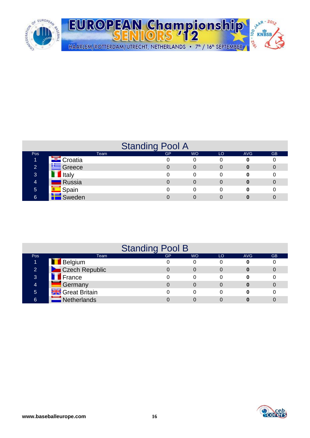

|                |                  | <b>Standing Pool A</b> |           |    |            |           |
|----------------|------------------|------------------------|-----------|----|------------|-----------|
| Pos            | Team             | <b>GP</b>              | <b>WO</b> | LO | <b>AVG</b> | <b>GB</b> |
|                | ▲ LE Croatia     |                        | 0         | 0  |            |           |
| $\overline{2}$ | <b>E</b> Greece  |                        | 0         | 0  |            | 0         |
| 3              | <b>I</b> Italy   |                        | 0         | 0  |            |           |
| $\overline{4}$ | <b>Russia</b>    |                        | 0         | 0  |            |           |
| 5              | <b>E</b> Spain   |                        | 0         | 0  |            |           |
| 6              | <b>LE</b> Sweden |                        |           |    |            |           |

|                |                          | <b>Standing Pool B</b> |           |    |            |           |
|----------------|--------------------------|------------------------|-----------|----|------------|-----------|
| Pos            | Team                     | <b>GP</b>              | <b>WO</b> | LO | <b>AVG</b> | <b>GB</b> |
|                | <b>Belgium</b>           |                        | 0         |    |            |           |
| $\overline{2}$ | Czech Republic           |                        | 0         |    |            |           |
| 3              | <b>T</b> France          |                        | 0         |    |            |           |
| 4              | <b>A</b> Germany         | 0                      | 0         | 0  |            |           |
| 5              | <b>STS</b> Great Britain |                        | 0         |    |            |           |
| 6              | <b>Netherlands</b>       |                        |           |    |            |           |

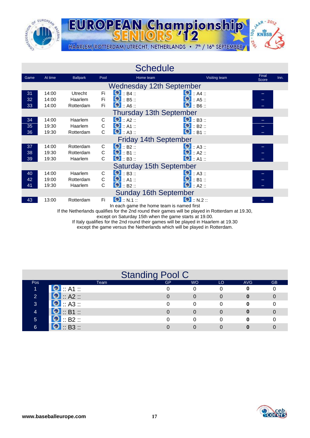



|      |                         |                 |             | <b>Schedule</b>                           |                     |                |      |
|------|-------------------------|-----------------|-------------|-------------------------------------------|---------------------|----------------|------|
| Game | At time                 | <b>Ballpark</b> | Pool        | Home team                                 | Visiting team       | Final<br>Score | Inn. |
|      |                         |                 |             | <b>Wednesday 12th September</b>           |                     |                |      |
| 31   | 14:00                   | <b>Utrecht</b>  | Fi.         | $\bullet$ :: B4 ::                        | $\bullet$ :: A4 ::  |                |      |
| 32   | 14:00                   | Haarlem         | Fi          | $\bullet$ :: B5 ::                        | $\bullet$ :: A5 ::  |                |      |
| 33   | 14:00                   | Rotterdam       | Fi          | $\bullet$ :: A6 ::                        | $\bullet$ :: B6 ::  |                |      |
|      |                         |                 |             | <b>Thursday 13th September</b>            |                     |                |      |
| 34   | 14:00                   | Haarlem         | С           | $\bullet$ :: A2 ::                        | $\bullet$ :: B3 ::  |                |      |
| 35   | 19:30                   | Haarlem         | C           | $\bullet$ :: A1 ::                        | $\bullet$ :: B2 ::  |                |      |
| 36   | 19:30                   | Rotterdam       | C           | $\bullet$ :: A3 ::                        | $\bullet$ :: B1 ::  |                |      |
|      |                         |                 |             | <b>Friday 14th September</b>              |                     |                |      |
| 37   | 14:00                   | Rotterdam       | С           | $\bullet$ : B2 ::                         | $\bullet$ : A3 ::   |                |      |
| 38   | 19:30                   | Rotterdam       | C           | $\Theta$ :: B1 ::                         | $\bullet$ :: A2 ::  |                |      |
| 39   | 19:30                   | Haarlem         | C           | $\bullet$ :: B3 ::                        | $\bullet$ : A1 ::   |                |      |
|      | Saturday 15th September |                 |             |                                           |                     |                |      |
| 40   | 14:00                   | Haarlem         | С           | $\bullet$ :: B3 ::                        | $\bullet$ : A3 ::   |                |      |
| 42   | 19:00                   | Rotterdam       | $\mathsf C$ | $\Theta$ :: A1 ::                         | $\Theta$ :: B1 ::   |                |      |
| 41   | 19:30                   | Haarlem         | C           | $\bullet$ : B2 ::                         | $\bigcirc$ :: A2 :: |                |      |
|      |                         |                 |             | <b>Sunday 16th September</b>              |                     |                |      |
| 43   | 13:00                   | Rotterdam       | Fi          | $\Theta$ :: N.1 ::                        | $\bullet$ :: N.2 :: |                |      |
|      |                         |                 |             | In each game the home team is named first |                     |                |      |

If the Netherlands qualifies for the 2nd round their games will be played in Rotterdam at 19.30,

except on Saturday 15th when the game starts at 19.00.

If Italy qualifies for the 2nd round their games will be played in Haarlem at 19.30

except the game versus the Netherlands which will be played in Rotterdam.

|              |                    | <b>Standing Pool C</b> |           |    |            |           |
|--------------|--------------------|------------------------|-----------|----|------------|-----------|
| <b>Pos</b>   | Team               | <b>GP</b>              | <b>WO</b> | LO | <b>AVG</b> | <b>GB</b> |
|              | $\bullet$ : A1 :   |                        | 0         |    |            |           |
| $\mathbf{2}$ | $\bullet$ :: A2 :: |                        |           |    |            |           |
| 3            | $\bullet$ :: A3 :: |                        |           |    |            |           |
|              | $\bullet$ : B1 ::  |                        |           |    |            |           |
| 5            | $\bullet$ :: B2 :: |                        |           |    |            |           |
| 6            | $\bullet$ :: B3 :: |                        |           |    |            |           |